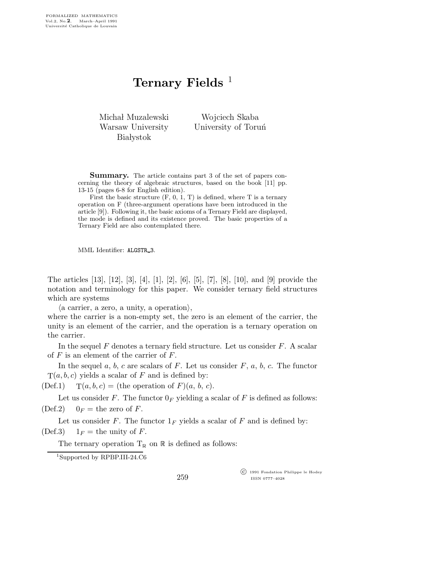## Ternary Fields  $<sup>1</sup>$ </sup>

Michał Muzalewski Warsaw University **Białystok** 

Wojciech Skaba University of Torun

Summary. The article contains part 3 of the set of papers concerning the theory of algebraic structures, based on the book [11] pp. 13-15 (pages 6-8 for English edition).

First the basic structure  $(F, 0, 1, T)$  is defined, where T is a ternary operation on F (three-argument operations have been introduced in the article [9]). Following it, the basic axioms of a Ternary Field are displayed, the mode is defined and its existence proved. The basic properties of a Ternary Field are also contemplated there.

MML Identifier: ALGSTR 3.

The articles [13], [12], [3], [4], [1], [2], [6], [5], [7], [8], [10], and [9] provide the notation and terminology for this paper. We consider ternary field structures which are systems

 $\langle$  a carrier, a zero, a unity, a operation $\rangle$ ,

where the carrier is a non-empty set, the zero is an element of the carrier, the unity is an element of the carrier, and the operation is a ternary operation on the carrier.

In the sequel  $F$  denotes a ternary field structure. Let us consider  $F$ . A scalar of  $F$  is an element of the carrier of  $F$ .

In the sequel  $a, b, c$  are scalars of  $F$ . Let us consider  $F, a, b, c$ . The functor  $T(a, b, c)$  yields a scalar of F and is defined by:

(Def.1)  $T(a, b, c) =$  (the operation of F) $(a, b, c)$ .

Let us consider F. The functor  $0_F$  yielding a scalar of F is defined as follows: (Def.2)  $0_F$  = the zero of F.

Let us consider F. The functor  $1_F$  yields a scalar of F and is defined by: (Def.3)  $1_F =$  the unity of F.

The ternary operation  $T_{\mathbb{R}}$  on  $\mathbb R$  is defined as follows:

<sup>1</sup>Supported by RPBP.III-24.C6

 c 1991 Fondation Philippe le Hodey ISSN 0777–4028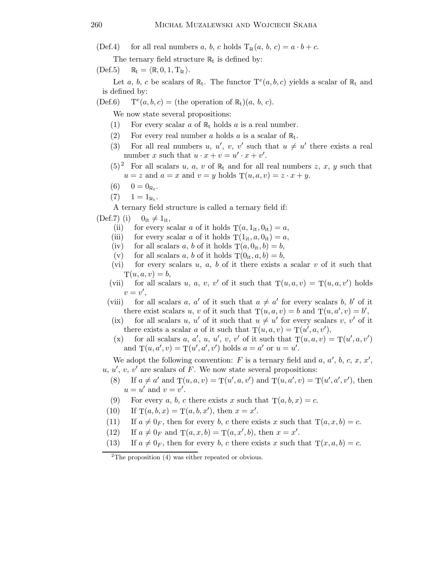(Def.4) for all real numbers a, b, c holds  $T_{\mathbb{R}}(a, b, c) = a \cdot b + c$ .

The ternary field structure  $\mathbb{R}_t$  is defined by:

(Def.5)  $_{\text{t}} = \langle \mathbb{R}, 0, 1, \text{T}_{\mathbb{R}} \rangle.$ 

Let a, b, c be scalars of  $\mathbb{R}_t$ . The functor  $T^e(a, b, c)$  yields a scalar of  $\mathbb{R}_t$  and is defined by:

 $(Def.6)$  $(a, b, c) =$  (the operation of  $\mathbb{R}_t$ ) $(a, b, c)$ .

We now state several propositions:

- (1) For every scalar  $a$  of  $\mathbb{R}_t$  holds  $a$  is a real number.
- (2) For every real number a holds a is a scalar of  $\mathbb{R}_t$ .
- (3) For all real numbers u, u', v, v' such that  $u \neq u'$  there exists a real number x such that  $u \cdot x + v = u' \cdot x + v'$ .
- $(5)^2$  For all scalars u, a, v of  $\mathbb{R}_t$  and for all real numbers z, x, y such that  $u = z$  and  $a = x$  and  $v = y$  holds  $T(u, a, v) = z \cdot x + y$ .
- (6)  $0 = 0_{\mathbb{R}_+}.$
- $(7)$   $1 = 1_{\mathbb{R}_+}.$

A ternary field structure is called a ternary field if:

- $(\text{Def.7})$  (i)  $0_{it} \neq 1_{it}$ ,
	- (ii) for every scalar a of it holds  $T(a, 1_{it}, 0_{it}) = a$ ,
	- (iii) for every scalar a of it holds  $T(1_{it}, a, 0_{it}) = a$ ,
	- (iv) for all scalars a, b of it holds  $T(a, 0<sub>it</sub>, b) = b$ ,
	- (v) for all scalars a, b of it holds  $T(0_{it}, a, b) = b$ ,
	- (vi) for every scalars  $u, a, b$  of it there exists a scalar  $v$  of it such that  $T(u,a,v) = b$ ,
	- (vii) for all scalars u, a, v, v' of it such that  $T(u,a,v) = T(u,a,v')$  holds  $v=v',$
	- (viii) for all scalars a, a' of it such that  $a \neq a'$  for every scalars b, b' of it there exist scalars u, v of it such that  $T(u, a, v) = b$  and  $T(u, a', v) = b'$ ,
	- (ix) for all scalars u, u' of it such that  $u \neq u'$  for every scalars v, v' of it there exists a scalar a of it such that  $T(u, a, v) = T(u', a, v'),$
	- (x) for all scalars a, a', u, u', v, v' of it such that  $\overline{T}(u,a,v) = T(u',a,v')$ and  $T(u, a', v) = T(u', a', v')$  holds  $a = a'$  or  $u = u'$ .

We adopt the following convention: F is a ternary field and  $a, a', b, c, x, x',$ u, u', v, v' are scalars of  $\overline{F}$ . We now state several propositions:

- (8) If  $a \neq a'$  and  $T(u, a, v) = T(u', a, v')$  and  $T(u, a', v) = T(u', a', v')$ , then  $u = u'$  and  $v = v'$ .
- (9) For every a, b, c there exists x such that  $T(a, b, x) = c$ .
- (10) If  $T(a, b, x) = T(a, b, x')$ , then  $x = x'$ .
- (11) If  $a \neq 0_F$ , then for every b, c there exists x such that  $T(a,x,b) = c$ .
- (12) If  $a \neq 0_F$  and  $T(a, x, b) = T(a, x', b)$ , then  $x = x'$ .
- (13) If  $a \neq 0_F$ , then for every b, c there exists x such that  $T(x,a,b) = c$ .

 $2$ The proposition  $(4)$  was either repeated or obvious.